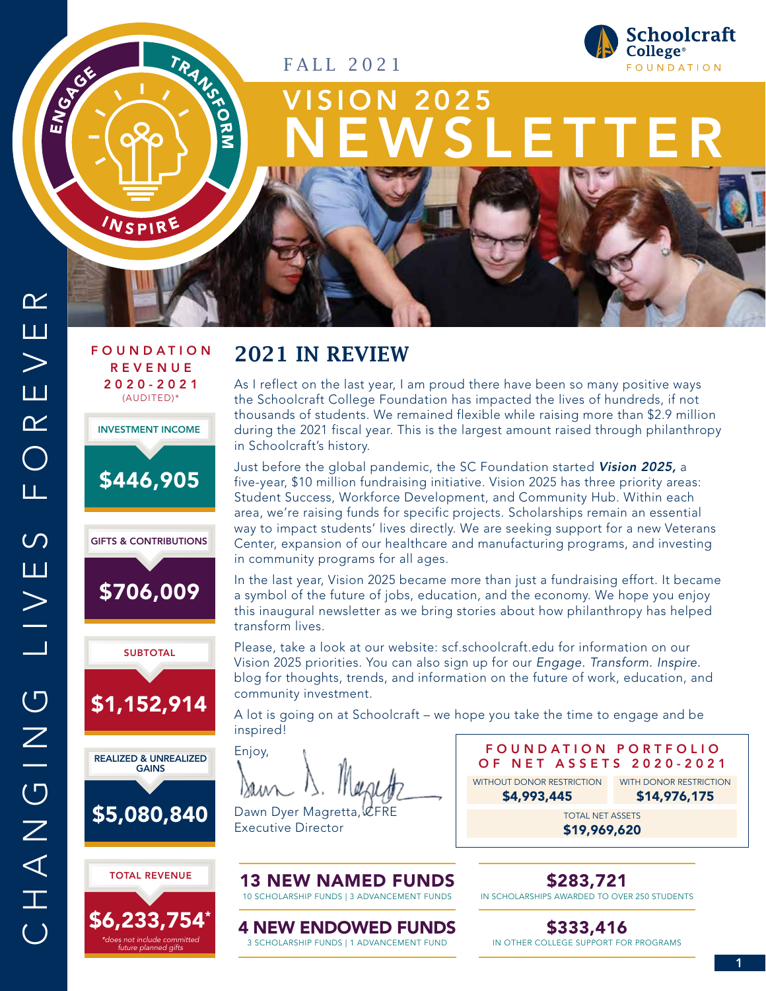FALL 2021



# 2025 NEWSLETTER

ENGA<sub>CC</sub>

## F O U N D A T I O N REVENUE 2020-2021 (AUDITED)\*

INSPIRE

TRANSCHELL









\$5,080,840



## 2021 IN REVIEW

As I reflect on the last year, I am proud there have been so many positive ways the Schoolcraft College Foundation has impacted the lives of hundreds, if not thousands of students. We remained flexible while raising more than \$2.9 million during the 2021 fiscal year. This is the largest amount raised through philanthropy in Schoolcraft's history.

Just before the global pandemic, the SC Foundation started Vision 2025, a five-year, \$10 million fundraising initiative. Vision 2025 has three priority areas: Student Success, Workforce Development, and Community Hub. Within each area, we're raising funds for specific projects. Scholarships remain an essential way to impact students' lives directly. We are seeking support for a new Veterans Center, expansion of our healthcare and manufacturing programs, and investing in community programs for all ages.

In the last year, Vision 2025 became more than just a fundraising effort. It became a symbol of the future of jobs, education, and the economy. We hope you enjoy this inaugural newsletter as we bring stories about how philanthropy has helped transform lives.

Please, take a look at our website: scf.schoolcraft.edu for information on our Vision 2025 priorities. You can also sign up for our *Engage. Transform. Inspire.*  blog for thoughts, trends, and information on the future of work, education, and community investment.

A lot is going on at Schoolcraft – we hope you take the time to engage and be inspired!

Enjoy,

Dawn Dyer Magretta, CFRE Executive Director

FOUNDATION PORTFOLIO OF NET ASSETS 2020-2021 TOTAL NET ASSETS WITHOUT DONOR RESTRICTION WITH DONOR RESTRICTION \$4,993,445 \$14,976,175

\$19,969,620

\$283,721

IN SCHOLARSHIPS AWARDED TO OVER 250 STUDENTS

4 NEW ENDOWED FUNDS 3 SCHOLARSHIP FUNDS | 1 ADVANCEMENT FUND

13 NEW NAMED FUNDS 10 SCHOLARSHIP FUNDS | 3 ADVANCEMENT FUNDS

> \$333,416 IN OTHER COLLEGE SUPPORT FOR PROGRAMS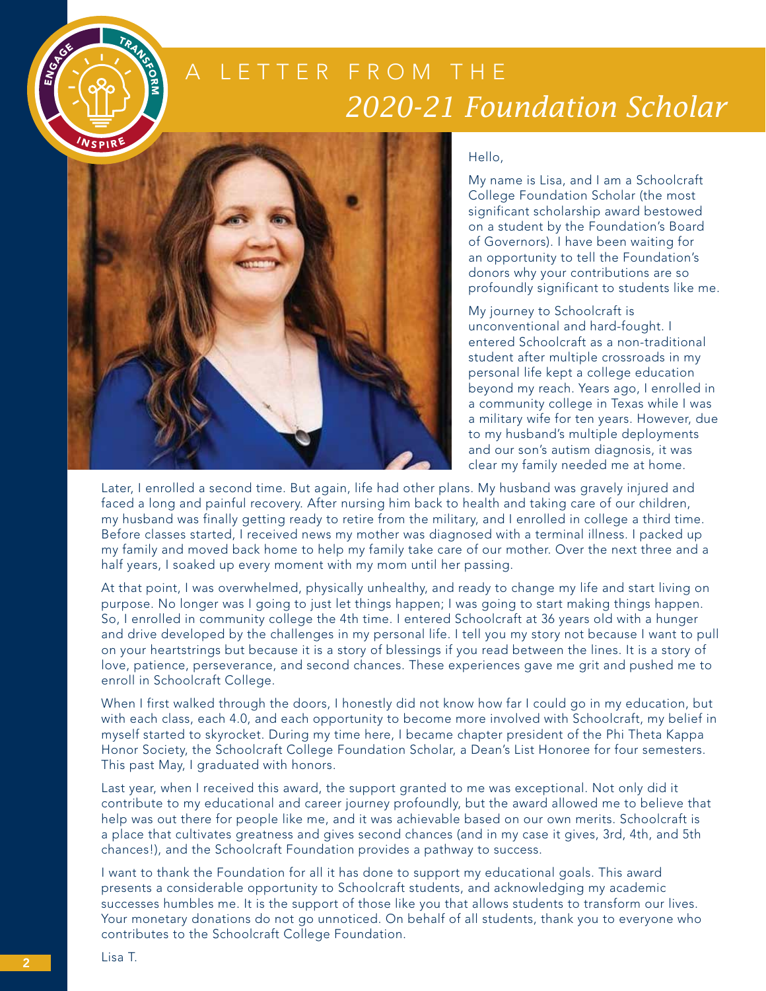



#### Hello,

My name is Lisa, and I am a Schoolcraft College Foundation Scholar (the most significant scholarship award bestowed on a student by the Foundation's Board of Governors). I have been waiting for an opportunity to tell the Foundation's donors why your contributions are so profoundly significant to students like me.

My journey to Schoolcraft is unconventional and hard-fought. I entered Schoolcraft as a non-traditional student after multiple crossroads in my personal life kept a college education beyond my reach. Years ago, I enrolled in a community college in Texas while I was a military wife for ten years. However, due to my husband's multiple deployments and our son's autism diagnosis, it was clear my family needed me at home.

Later, I enrolled a second time. But again, life had other plans. My husband was gravely injured and faced a long and painful recovery. After nursing him back to health and taking care of our children, my husband was finally getting ready to retire from the military, and I enrolled in college a third time. Before classes started, I received news my mother was diagnosed with a terminal illness. I packed up my family and moved back home to help my family take care of our mother. Over the next three and a half years, I soaked up every moment with my mom until her passing.

At that point, I was overwhelmed, physically unhealthy, and ready to change my life and start living on purpose. No longer was I going to just let things happen; I was going to start making things happen. So, I enrolled in community college the 4th time. I entered Schoolcraft at 36 years old with a hunger and drive developed by the challenges in my personal life. I tell you my story not because I want to pull on your heartstrings but because it is a story of blessings if you read between the lines. It is a story of love, patience, perseverance, and second chances. These experiences gave me grit and pushed me to enroll in Schoolcraft College.

When I first walked through the doors, I honestly did not know how far I could go in my education, but with each class, each 4.0, and each opportunity to become more involved with Schoolcraft, my belief in myself started to skyrocket. During my time here, I became chapter president of the Phi Theta Kappa Honor Society, the Schoolcraft College Foundation Scholar, a Dean's List Honoree for four semesters. This past May, I graduated with honors.

Last year, when I received this award, the support granted to me was exceptional. Not only did it contribute to my educational and career journey profoundly, but the award allowed me to believe that help was out there for people like me, and it was achievable based on our own merits. Schoolcraft is a place that cultivates greatness and gives second chances (and in my case it gives, 3rd, 4th, and 5th chances!), and the Schoolcraft Foundation provides a pathway to success.

I want to thank the Foundation for all it has done to support my educational goals. This award presents a considerable opportunity to Schoolcraft students, and acknowledging my academic successes humbles me. It is the support of those like you that allows students to transform our lives. Your monetary donations do not go unnoticed. On behalf of all students, thank you to everyone who contributes to the Schoolcraft College Foundation.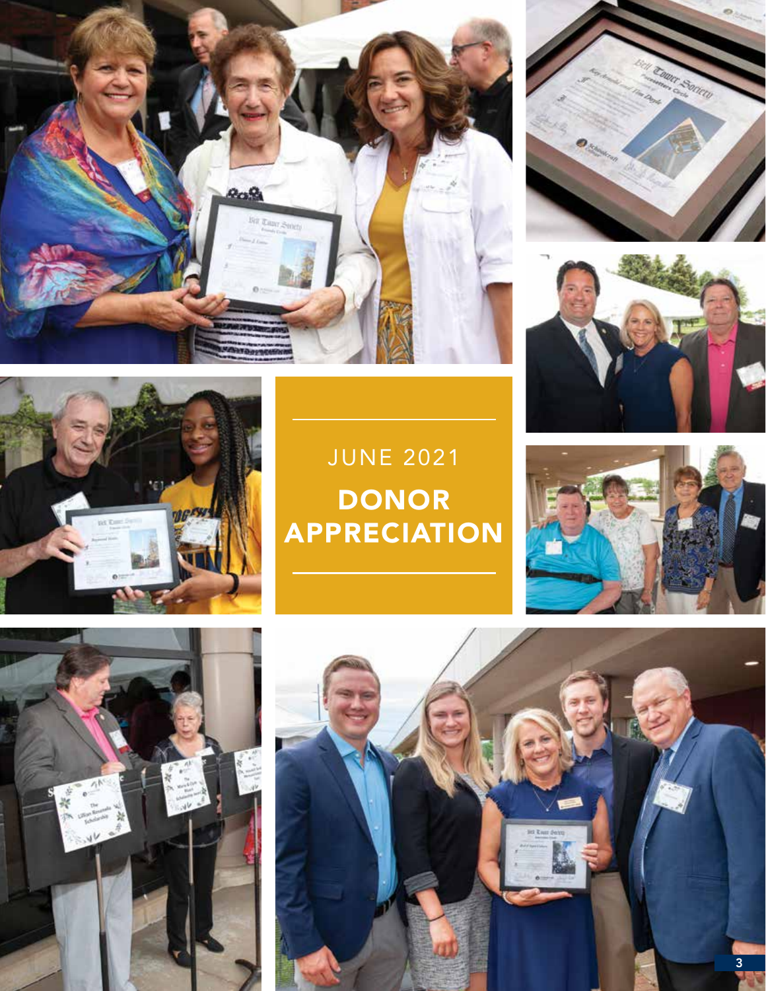







## JUNE 2021 DONOR APPRECIATION





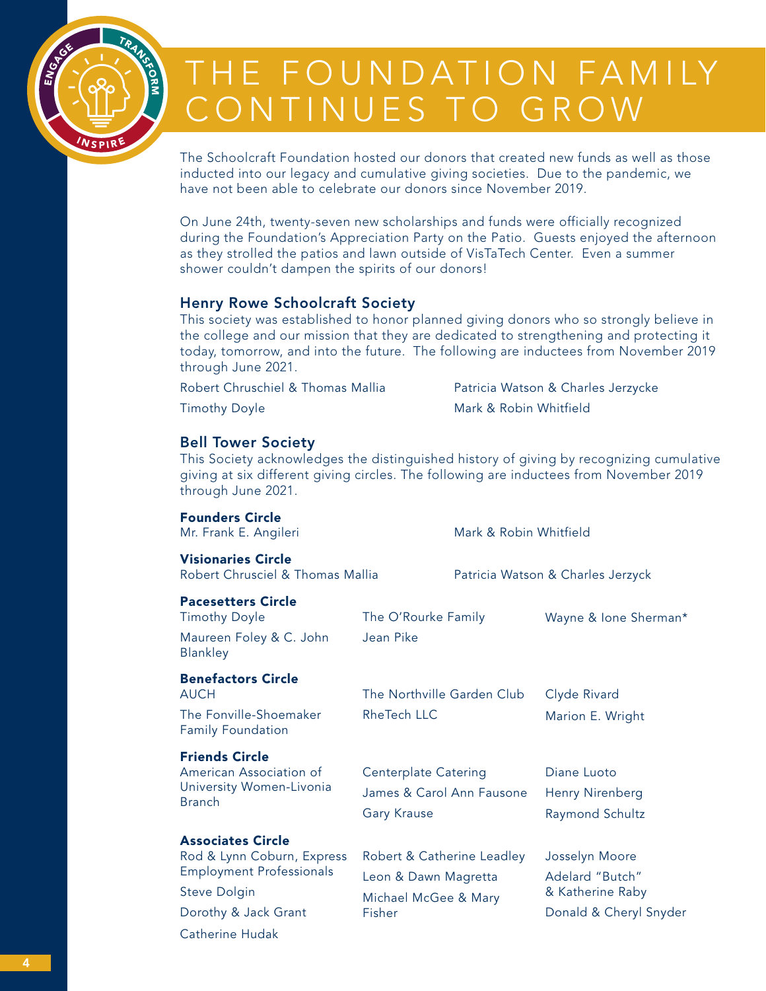

# THE FOUNDATION FAMILY CONTINUES TO GROW

The Schoolcraft Foundation hosted our donors that created new funds as well as those inducted into our legacy and cumulative giving societies. Due to the pandemic, we have not been able to celebrate our donors since November 2019.

On June 24th, twenty-seven new scholarships and funds were officially recognized during the Foundation's Appreciation Party on the Patio. Guests enjoyed the afternoon as they strolled the patios and lawn outside of VisTaTech Center. Even a summer shower couldn't dampen the spirits of our donors!

## Henry Rowe Schoolcraft Society

This society was established to honor planned giving donors who so strongly believe in the college and our mission that they are dedicated to strengthening and protecting it today, tomorrow, and into the future. The following are inductees from November 2019 through June 2021.

Robert Chruschiel & Thomas Mallia

Timothy Doyle

Patricia Watson & Charles Jerzycke Mark & Robin Whitfield

## Bell Tower Society

This Society acknowledges the distinguished history of giving by recognizing cumulative giving at six different giving circles. The following are inductees from November 2019 through June 2021.

| <b>Founders Circle</b><br>Mr. Frank E. Angileri                                                                                                      |                                                                                      |                                   | Mark & Robin Whitfield                                                          |  |
|------------------------------------------------------------------------------------------------------------------------------------------------------|--------------------------------------------------------------------------------------|-----------------------------------|---------------------------------------------------------------------------------|--|
| <b>Visionaries Circle</b><br>Robert Chrusciel & Thomas Mallia                                                                                        |                                                                                      | Patricia Watson & Charles Jerzyck |                                                                                 |  |
| <b>Pacesetters Circle</b><br><b>Timothy Doyle</b><br>Maureen Foley & C. John<br>Blankley                                                             | The O'Rourke Family<br>Jean Pike                                                     |                                   | Wayne & Ione Sherman*                                                           |  |
| <b>Benefactors Circle</b><br><b>AUCH</b><br>The Fonville-Shoemaker<br><b>Family Foundation</b>                                                       | The Northville Garden Club<br><b>RheTech LLC</b>                                     |                                   | Clyde Rivard<br>Marion E. Wright                                                |  |
| <b>Friends Circle</b><br>American Association of<br>University Women-Livonia<br><b>Branch</b>                                                        | Centerplate Catering<br>James & Carol Ann Fausone<br><b>Gary Krause</b>              |                                   | Diane Luoto<br>Henry Nirenberg<br>Raymond Schultz                               |  |
| <b>Associates Circle</b><br>Rod & Lynn Coburn, Express<br><b>Employment Professionals</b><br>Steve Dolgin<br>Dorothy & Jack Grant<br>Catherine Hudak | Robert & Catherine Leadley<br>Leon & Dawn Magretta<br>Michael McGee & Mary<br>Fisher |                                   | Josselyn Moore<br>Adelard "Butch"<br>& Katherine Raby<br>Donald & Cheryl Snyder |  |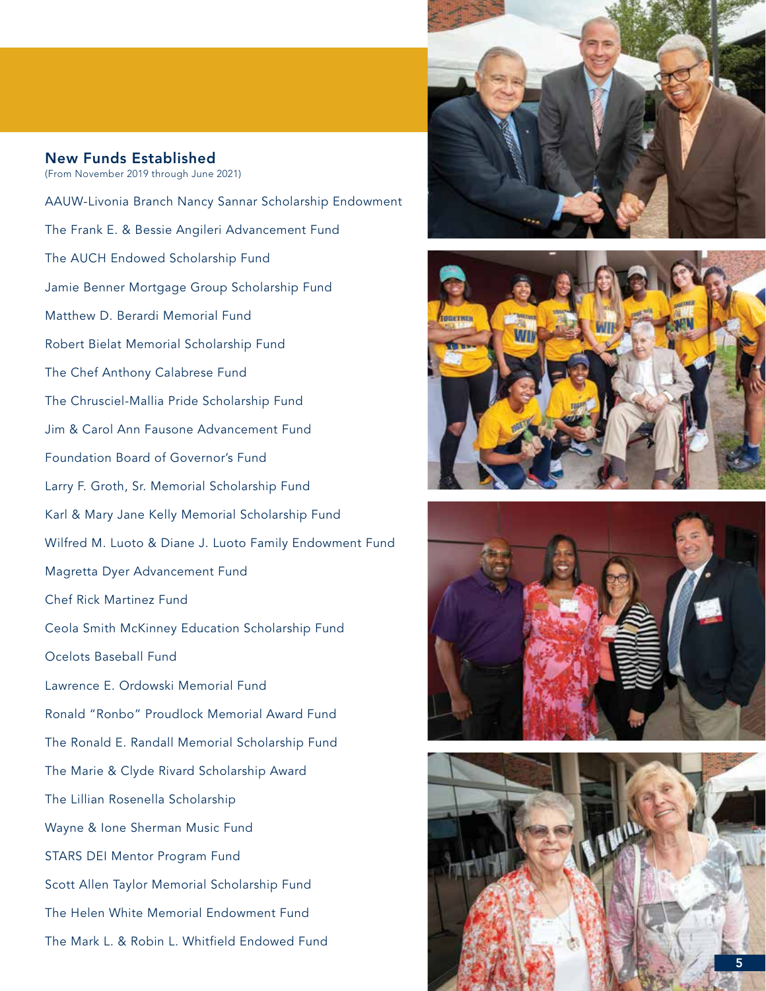## New Funds Established (From November 2019 through June 2021)

AAUW-Livonia Branch Nancy Sannar Scholarship Endowment The Frank E. & Bessie Angileri Advancement Fund The AUCH Endowed Scholarship Fund Jamie Benner Mortgage Group Scholarship Fund Matthew D. Berardi Memorial Fund Robert Bielat Memorial Scholarship Fund The Chef Anthony Calabrese Fund The Chrusciel-Mallia Pride Scholarship Fund Jim & Carol Ann Fausone Advancement Fund Foundation Board of Governor's Fund Larry F. Groth, Sr. Memorial Scholarship Fund Karl & Mary Jane Kelly Memorial Scholarship Fund Wilfred M. Luoto & Diane J. Luoto Family Endowment Fund Magretta Dyer Advancement Fund Chef Rick Martinez Fund Ceola Smith McKinney Education Scholarship Fund Ocelots Baseball Fund Lawrence E. Ordowski Memorial Fund Ronald "Ronbo" Proudlock Memorial Award Fund The Ronald E. Randall Memorial Scholarship Fund The Marie & Clyde Rivard Scholarship Award The Lillian Rosenella Scholarship Wayne & Ione Sherman Music Fund STARS DEI Mentor Program Fund Scott Allen Taylor Memorial Scholarship Fund The Helen White Memorial Endowment Fund The Mark L. & Robin L. Whitfield Endowed Fund







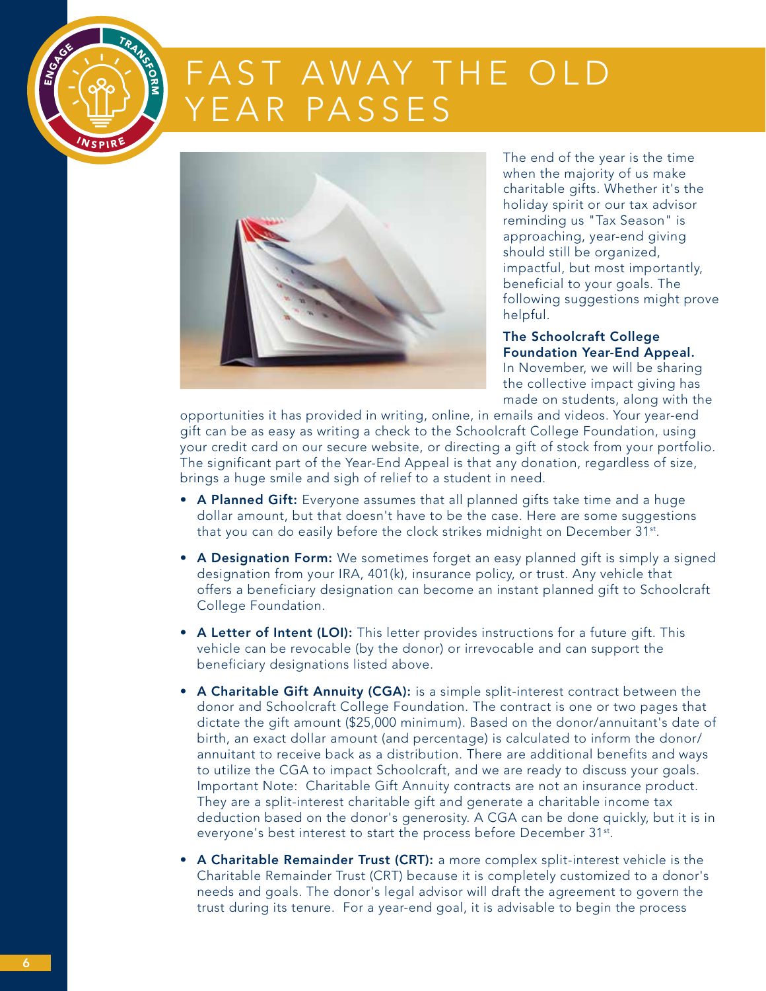

# FAST AWAY THE OLD FAR PASSES



The end of the year is the time when the majority of us make charitable gifts. Whether it's the holiday spirit or our tax advisor reminding us "Tax Season" is approaching, year-end giving should still be organized, impactful, but most importantly, beneficial to your goals. The following suggestions might prove helpful.

The Schoolcraft College Foundation Year-End Appeal. In November, we will be sharing

the collective impact giving has made on students, along with the

opportunities it has provided in writing, online, in emails and videos. Your year-end gift can be as easy as writing a check to the Schoolcraft College Foundation, using your credit card on our secure website, or directing a gift of stock from your portfolio. The significant part of the Year-End Appeal is that any donation, regardless of size, brings a huge smile and sigh of relief to a student in need.

- A Planned Gift: Everyone assumes that all planned gifts take time and a huge dollar amount, but that doesn't have to be the case. Here are some suggestions that you can do easily before the clock strikes midnight on December 31<sup>st</sup>.
- A Designation Form: We sometimes forget an easy planned gift is simply a signed designation from your IRA, 401(k), insurance policy, or trust. Any vehicle that offers a beneficiary designation can become an instant planned gift to Schoolcraft College Foundation.
- A Letter of Intent (LOI): This letter provides instructions for a future gift. This vehicle can be revocable (by the donor) or irrevocable and can support the beneficiary designations listed above.
- A Charitable Gift Annuity (CGA): is a simple split-interest contract between the donor and Schoolcraft College Foundation. The contract is one or two pages that dictate the gift amount (\$25,000 minimum). Based on the donor/annuitant's date of birth, an exact dollar amount (and percentage) is calculated to inform the donor/ annuitant to receive back as a distribution. There are additional benefits and ways to utilize the CGA to impact Schoolcraft, and we are ready to discuss your goals. Important Note: Charitable Gift Annuity contracts are not an insurance product. They are a split-interest charitable gift and generate a charitable income tax deduction based on the donor's generosity. A CGA can be done quickly, but it is in everyone's best interest to start the process before December 31<sup>st</sup>.
- A Charitable Remainder Trust (CRT): a more complex split-interest vehicle is the Charitable Remainder Trust (CRT) because it is completely customized to a donor's needs and goals. The donor's legal advisor will draft the agreement to govern the trust during its tenure. For a year-end goal, it is advisable to begin the process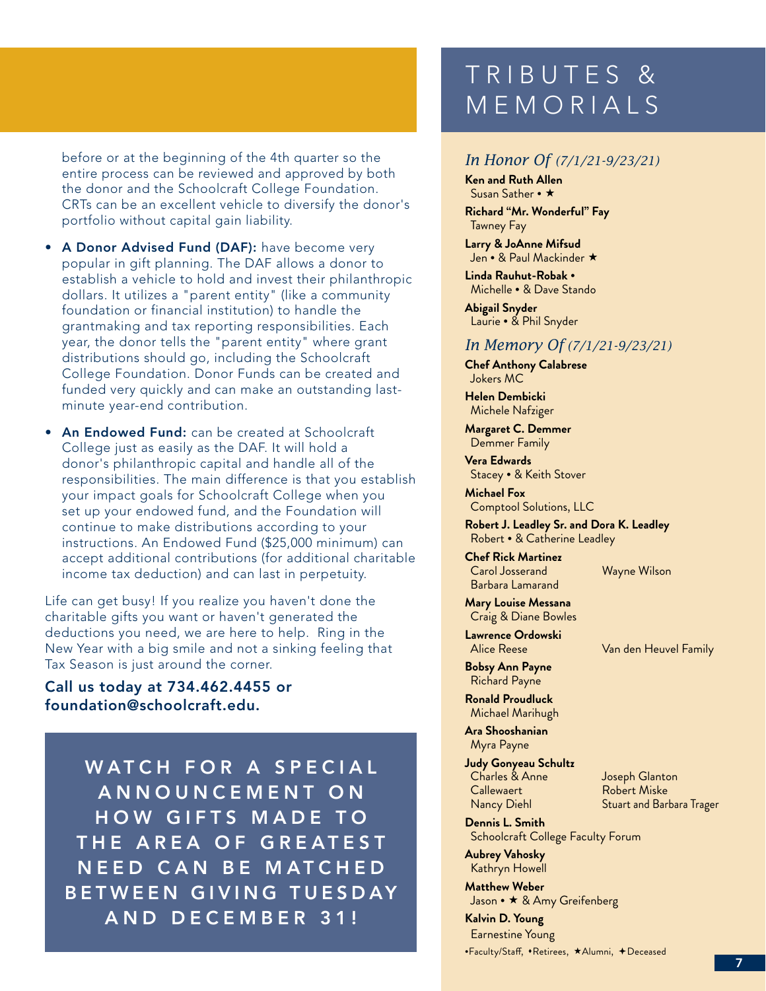before or at the beginning of the 4th quarter so the entire process can be reviewed and approved by both the donor and the Schoolcraft College Foundation. CRTs can be an excellent vehicle to diversify the donor's portfolio without capital gain liability.

- A Donor Advised Fund (DAF): have become very popular in gift planning. The DAF allows a donor to establish a vehicle to hold and invest their philanthropic dollars. It utilizes a "parent entity" (like a community foundation or financial institution) to handle the grantmaking and tax reporting responsibilities. Each year, the donor tells the "parent entity" where grant distributions should go, including the Schoolcraft College Foundation. Donor Funds can be created and funded very quickly and can make an outstanding lastminute year-end contribution.
- An Endowed Fund: can be created at Schoolcraft College just as easily as the DAF. It will hold a donor's philanthropic capital and handle all of the responsibilities. The main difference is that you establish your impact goals for Schoolcraft College when you set up your endowed fund, and the Foundation will continue to make distributions according to your instructions. An Endowed Fund (\$25,000 minimum) can accept additional contributions (for additional charitable income tax deduction) and can last in perpetuity.

Life can get busy! If you realize you haven't done the charitable gifts you want or haven't generated the deductions you need, we are here to help. Ring in the New Year with a big smile and not a sinking feeling that Tax Season is just around the corner.

## Call us today at 734.462.4455 or foundation@schoolcraft.edu.

WATCH FOR A SPECIAL A N N O U N C E M E N T O N HOW GIFTS MADE TO THE AREA OF GREATEST NEED CAN BE MATCHED BETWEEN GIVING TUESDAY A N D D E C E M B E R 3 1 !

## TRIBUTES & MEMORIALS

## *In Honor Of (7/1/21-9/23/21)*

**Ken and Ruth Allen** Susan Sather **•** 

**Richard "Mr. Wonderful" Fay** Tawney Fay

**Larry & JoAnne Mifsud** Jen **•** & Paul Mackinder

**Linda Rauhut-Robak •** Michelle **•** & Dave Stando

**Abigail Snyder** Laurie **•** & Phil Snyder

## *In Memory Of (7/1/21-9/23/21)*

**Chef Anthony Calabrese** Jokers MC

**Helen Dembicki** Michele Nafziger

**Margaret C. Demmer** Demmer Family

**Vera Edwards** Stacey **•** & Keith Stover

**Michael Fox** Comptool Solutions, LLC

**Robert J. Leadley Sr. and Dora K. Leadley** Robert **•** & Catherine Leadley

**Chef Rick Martinez** Carol Josserand Barbara Lamarand

**Mary Louise Messana** Craig & Diane Bowles

**Lawrence Ordowski**

Van den Heuvel Family

Wayne Wilson

**Bobsy Ann Payne** Richard Payne

**Ronald Proudluck** Michael Marihugh

**Ara Shooshanian** Myra Payne

**Judy Gonyeau Schultz** Charles & Anne Callewaert Nancy Diehl

Joseph Glanton Robert Miske Stuart and Barbara Trager

**Dennis L. Smith** Schoolcraft College Faculty Forum

**Aubrey Vahosky** Kathryn Howell

**Matthew Weber** Jason **•**  & Amy Greifenberg

**Kalvin D. Young** Earnestine Young **•Faculty/Staff, •Retirees, \*Alumni, +Deceased** 

7